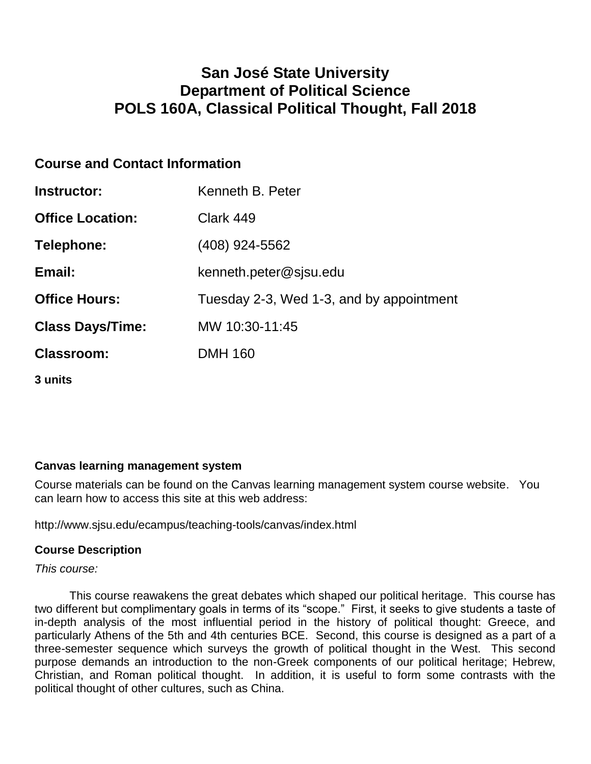## **San José State University Department of Political Science POLS 160A, Classical Political Thought, Fall 2018**

## **Course and Contact Information**

| Instructor:             | Kenneth B. Peter                         |
|-------------------------|------------------------------------------|
| <b>Office Location:</b> | Clark 449                                |
| Telephone:              | (408) 924-5562                           |
| Email:                  | kenneth.peter@sjsu.edu                   |
| <b>Office Hours:</b>    | Tuesday 2-3, Wed 1-3, and by appointment |
| <b>Class Days/Time:</b> | MW 10:30-11:45                           |
| <b>Classroom:</b>       | <b>DMH 160</b>                           |
| 3 units                 |                                          |

#### **Canvas learning management system**

Course materials can be found on the Canvas learning management system course website. You can learn how to access this site at this web address:

http://www.sjsu.edu/ecampus/teaching-tools/canvas/index.html

#### **Course Description**

*This course:*

This course reawakens the great debates which shaped our political heritage. This course has two different but complimentary goals in terms of its "scope." First, it seeks to give students a taste of in-depth analysis of the most influential period in the history of political thought: Greece, and particularly Athens of the 5th and 4th centuries BCE. Second, this course is designed as a part of a three-semester sequence which surveys the growth of political thought in the West. This second purpose demands an introduction to the non-Greek components of our political heritage; Hebrew, Christian, and Roman political thought. In addition, it is useful to form some contrasts with the political thought of other cultures, such as China.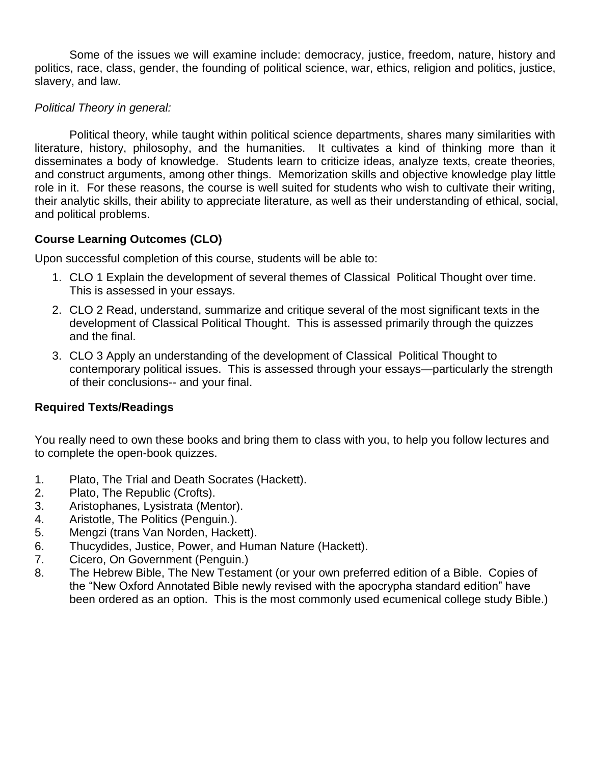Some of the issues we will examine include: democracy, justice, freedom, nature, history and politics, race, class, gender, the founding of political science, war, ethics, religion and politics, justice, slavery, and law.

#### *Political Theory in general:*

Political theory, while taught within political science departments, shares many similarities with literature, history, philosophy, and the humanities. It cultivates a kind of thinking more than it disseminates a body of knowledge. Students learn to criticize ideas, analyze texts, create theories, and construct arguments, among other things. Memorization skills and objective knowledge play little role in it. For these reasons, the course is well suited for students who wish to cultivate their writing, their analytic skills, their ability to appreciate literature, as well as their understanding of ethical, social, and political problems.

#### **Course Learning Outcomes (CLO)**

Upon successful completion of this course, students will be able to:

- 1. CLO 1 Explain the development of several themes of Classical Political Thought over time. This is assessed in your essays.
- 2. CLO 2 Read, understand, summarize and critique several of the most significant texts in the development of Classical Political Thought. This is assessed primarily through the quizzes and the final.
- 3. CLO 3 Apply an understanding of the development of Classical Political Thought to contemporary political issues. This is assessed through your essays—particularly the strength of their conclusions-- and your final.

#### **Required Texts/Readings**

You really need to own these books and bring them to class with you, to help you follow lectures and to complete the open-book quizzes.

- 1. Plato, The Trial and Death Socrates (Hackett).
- 2. Plato, The Republic (Crofts).
- 3. Aristophanes, Lysistrata (Mentor).
- 4. Aristotle, The Politics (Penguin.).
- 5. Mengzi (trans Van Norden, Hackett).
- 6. Thucydides, Justice, Power, and Human Nature (Hackett).
- 7. Cicero, On Government (Penguin.)
- 8. The Hebrew Bible, The New Testament (or your own preferred edition of a Bible. Copies of the "New Oxford Annotated Bible newly revised with the apocrypha standard edition" have been ordered as an option. This is the most commonly used ecumenical college study Bible.)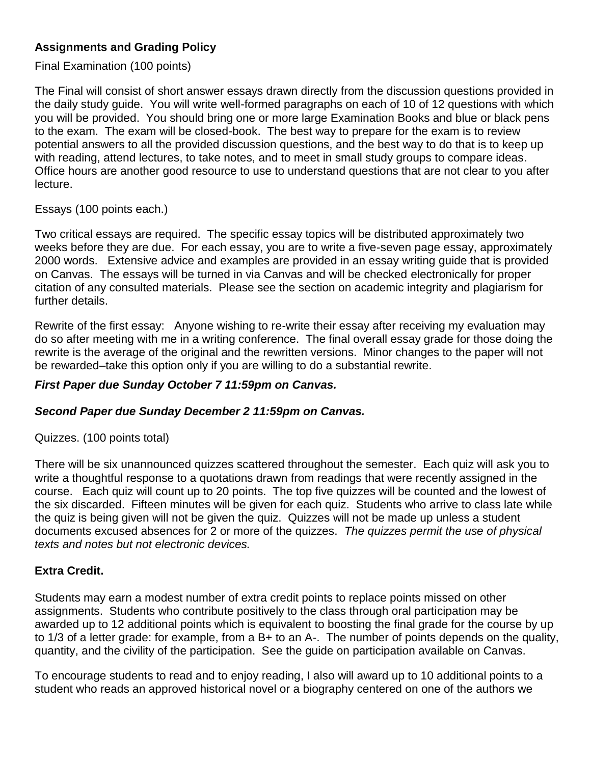## **Assignments and Grading Policy**

#### Final Examination (100 points)

The Final will consist of short answer essays drawn directly from the discussion questions provided in the daily study guide. You will write well-formed paragraphs on each of 10 of 12 questions with which you will be provided. You should bring one or more large Examination Books and blue or black pens to the exam. The exam will be closed-book. The best way to prepare for the exam is to review potential answers to all the provided discussion questions, and the best way to do that is to keep up with reading, attend lectures, to take notes, and to meet in small study groups to compare ideas. Office hours are another good resource to use to understand questions that are not clear to you after lecture.

#### Essays (100 points each.)

Two critical essays are required. The specific essay topics will be distributed approximately two weeks before they are due. For each essay, you are to write a five-seven page essay, approximately 2000 words. Extensive advice and examples are provided in an essay writing guide that is provided on Canvas. The essays will be turned in via Canvas and will be checked electronically for proper citation of any consulted materials. Please see the section on academic integrity and plagiarism for further details.

Rewrite of the first essay: Anyone wishing to re-write their essay after receiving my evaluation may do so after meeting with me in a writing conference. The final overall essay grade for those doing the rewrite is the average of the original and the rewritten versions. Minor changes to the paper will not be rewarded–take this option only if you are willing to do a substantial rewrite.

#### *First Paper due Sunday October 7 11:59pm on Canvas.*

#### *Second Paper due Sunday December 2 11:59pm on Canvas.*

Quizzes. (100 points total)

There will be six unannounced quizzes scattered throughout the semester. Each quiz will ask you to write a thoughtful response to a quotations drawn from readings that were recently assigned in the course. Each quiz will count up to 20 points. The top five quizzes will be counted and the lowest of the six discarded. Fifteen minutes will be given for each quiz. Students who arrive to class late while the quiz is being given will not be given the quiz. Quizzes will not be made up unless a student documents excused absences for 2 or more of the quizzes. *The quizzes permit the use of physical texts and notes but not electronic devices.*

#### **Extra Credit.**

Students may earn a modest number of extra credit points to replace points missed on other assignments. Students who contribute positively to the class through oral participation may be awarded up to 12 additional points which is equivalent to boosting the final grade for the course by up to 1/3 of a letter grade: for example, from a B+ to an A-. The number of points depends on the quality, quantity, and the civility of the participation. See the guide on participation available on Canvas.

To encourage students to read and to enjoy reading, I also will award up to 10 additional points to a student who reads an approved historical novel or a biography centered on one of the authors we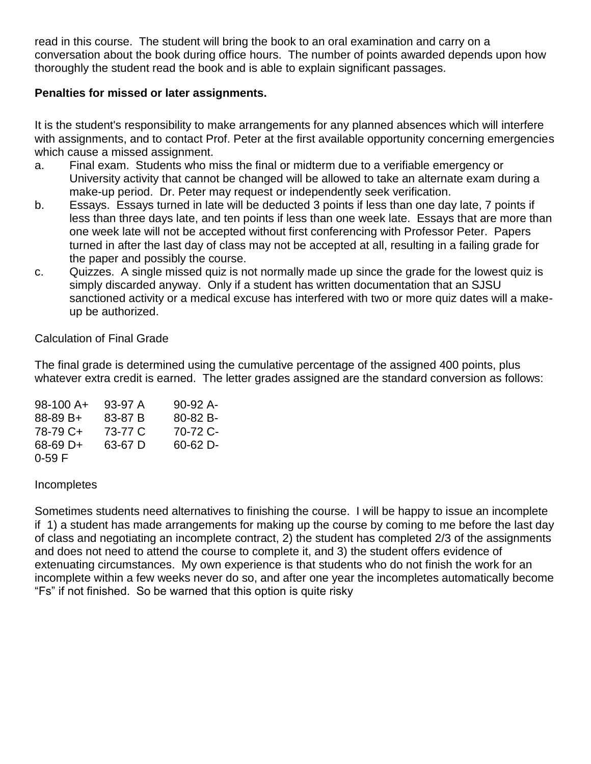read in this course. The student will bring the book to an oral examination and carry on a conversation about the book during office hours. The number of points awarded depends upon how thoroughly the student read the book and is able to explain significant passages.

#### **Penalties for missed or later assignments.**

It is the student's responsibility to make arrangements for any planned absences which will interfere with assignments, and to contact Prof. Peter at the first available opportunity concerning emergencies which cause a missed assignment.

- a. Final exam. Students who miss the final or midterm due to a verifiable emergency or University activity that cannot be changed will be allowed to take an alternate exam during a make-up period. Dr. Peter may request or independently seek verification.
- b. Essays. Essays turned in late will be deducted 3 points if less than one day late, 7 points if less than three days late, and ten points if less than one week late. Essays that are more than one week late will not be accepted without first conferencing with Professor Peter. Papers turned in after the last day of class may not be accepted at all, resulting in a failing grade for the paper and possibly the course.
- c. Quizzes. A single missed quiz is not normally made up since the grade for the lowest quiz is simply discarded anyway. Only if a student has written documentation that an SJSU sanctioned activity or a medical excuse has interfered with two or more quiz dates will a makeup be authorized.

Calculation of Final Grade

The final grade is determined using the cumulative percentage of the assigned 400 points, plus whatever extra credit is earned. The letter grades assigned are the standard conversion as follows:

| 98-100 A+ | 93-97 A | $90-92A$ - |
|-----------|---------|------------|
| 88-89 B+  | 83-87 B | 80-82 B-   |
| 78-79 C+  | 73-77 C | 70-72 C-   |
| 68-69 D+  | 63-67 D | 60-62 D-   |
| $0-59$ F  |         |            |

**Incompletes** 

Sometimes students need alternatives to finishing the course. I will be happy to issue an incomplete if 1) a student has made arrangements for making up the course by coming to me before the last day of class and negotiating an incomplete contract, 2) the student has completed 2/3 of the assignments and does not need to attend the course to complete it, and 3) the student offers evidence of extenuating circumstances. My own experience is that students who do not finish the work for an incomplete within a few weeks never do so, and after one year the incompletes automatically become "Fs" if not finished. So be warned that this option is quite risky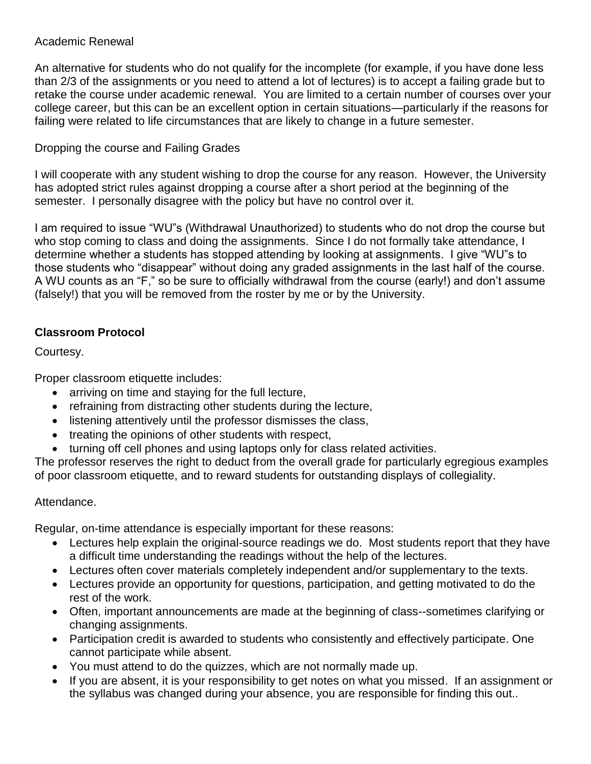#### Academic Renewal

An alternative for students who do not qualify for the incomplete (for example, if you have done less than 2/3 of the assignments or you need to attend a lot of lectures) is to accept a failing grade but to retake the course under academic renewal. You are limited to a certain number of courses over your college career, but this can be an excellent option in certain situations—particularly if the reasons for failing were related to life circumstances that are likely to change in a future semester.

### Dropping the course and Failing Grades

I will cooperate with any student wishing to drop the course for any reason. However, the University has adopted strict rules against dropping a course after a short period at the beginning of the semester. I personally disagree with the policy but have no control over it.

I am required to issue "WU"s (Withdrawal Unauthorized) to students who do not drop the course but who stop coming to class and doing the assignments. Since I do not formally take attendance, I determine whether a students has stopped attending by looking at assignments. I give "WU"s to those students who "disappear" without doing any graded assignments in the last half of the course. A WU counts as an "F," so be sure to officially withdrawal from the course (early!) and don't assume (falsely!) that you will be removed from the roster by me or by the University.

## **Classroom Protocol**

Courtesy.

Proper classroom etiquette includes:

- arriving on time and staying for the full lecture,
- refraining from distracting other students during the lecture,
- **.** listening attentively until the professor dismisses the class,
- treating the opinions of other students with respect,
- turning off cell phones and using laptops only for class related activities.

The professor reserves the right to deduct from the overall grade for particularly egregious examples of poor classroom etiquette, and to reward students for outstanding displays of collegiality.

#### Attendance.

Regular, on-time attendance is especially important for these reasons:

- Lectures help explain the original-source readings we do. Most students report that they have a difficult time understanding the readings without the help of the lectures.
- Lectures often cover materials completely independent and/or supplementary to the texts.
- Lectures provide an opportunity for questions, participation, and getting motivated to do the rest of the work.
- Often, important announcements are made at the beginning of class--sometimes clarifying or changing assignments.
- Participation credit is awarded to students who consistently and effectively participate. One cannot participate while absent.
- You must attend to do the quizzes, which are not normally made up.
- If you are absent, it is your responsibility to get notes on what you missed. If an assignment or the syllabus was changed during your absence, you are responsible for finding this out..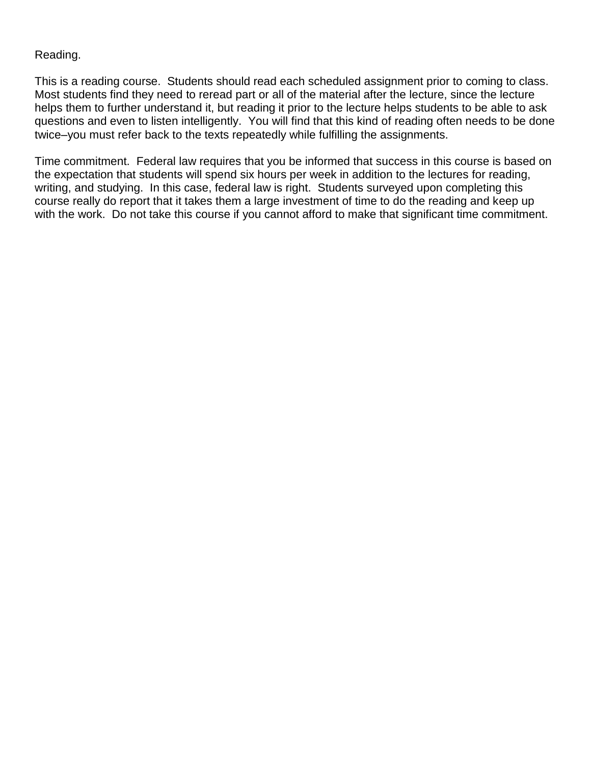#### Reading.

This is a reading course. Students should read each scheduled assignment prior to coming to class. Most students find they need to reread part or all of the material after the lecture, since the lecture helps them to further understand it, but reading it prior to the lecture helps students to be able to ask questions and even to listen intelligently. You will find that this kind of reading often needs to be done twice–you must refer back to the texts repeatedly while fulfilling the assignments.

Time commitment. Federal law requires that you be informed that success in this course is based on the expectation that students will spend six hours per week in addition to the lectures for reading, writing, and studying. In this case, federal law is right. Students surveyed upon completing this course really do report that it takes them a large investment of time to do the reading and keep up with the work. Do not take this course if you cannot afford to make that significant time commitment.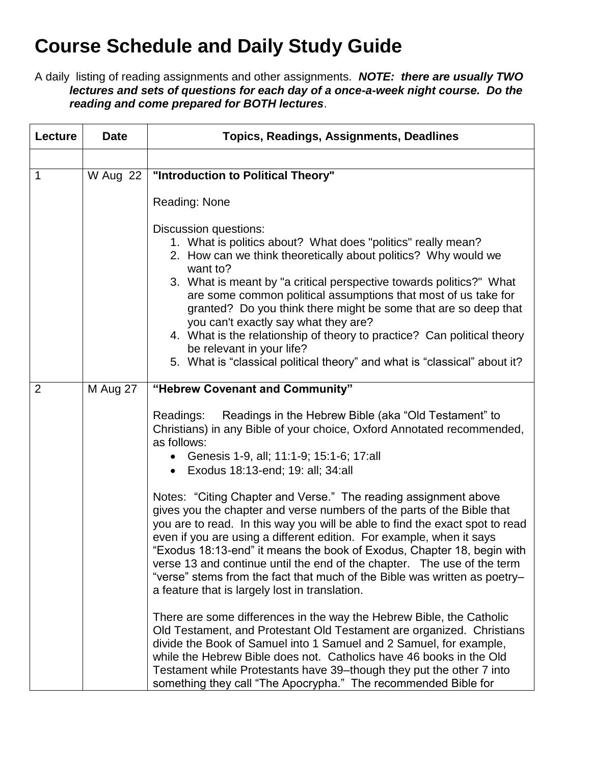# **Course Schedule and Daily Study Guide**

A daily listing of reading assignments and other assignments. *NOTE: there are usually TWO lectures and sets of questions for each day of a once-a-week night course. Do the reading and come prepared for BOTH lectures*.

| Lecture        | <b>Date</b> | <b>Topics, Readings, Assignments, Deadlines</b>                                                                                                                                                                                                                                                                                                                                                                                                                                                                                                                                                              |
|----------------|-------------|--------------------------------------------------------------------------------------------------------------------------------------------------------------------------------------------------------------------------------------------------------------------------------------------------------------------------------------------------------------------------------------------------------------------------------------------------------------------------------------------------------------------------------------------------------------------------------------------------------------|
|                |             |                                                                                                                                                                                                                                                                                                                                                                                                                                                                                                                                                                                                              |
| 1              | W Aug 22    | "Introduction to Political Theory"                                                                                                                                                                                                                                                                                                                                                                                                                                                                                                                                                                           |
|                |             | Reading: None                                                                                                                                                                                                                                                                                                                                                                                                                                                                                                                                                                                                |
|                |             | Discussion questions:<br>1. What is politics about? What does "politics" really mean?<br>2. How can we think theoretically about politics? Why would we<br>want to?<br>3. What is meant by "a critical perspective towards politics?" What<br>are some common political assumptions that most of us take for<br>granted? Do you think there might be some that are so deep that<br>you can't exactly say what they are?<br>4. What is the relationship of theory to practice? Can political theory<br>be relevant in your life?<br>5. What is "classical political theory" and what is "classical" about it? |
| $\overline{2}$ | M Aug 27    | "Hebrew Covenant and Community"                                                                                                                                                                                                                                                                                                                                                                                                                                                                                                                                                                              |
|                |             | Readings in the Hebrew Bible (aka "Old Testament" to<br>Readings:<br>Christians) in any Bible of your choice, Oxford Annotated recommended,<br>as follows:<br>• Genesis 1-9, all; 11:1-9; 15:1-6; 17:all<br>• Exodus 18:13-end; 19: all; 34:all                                                                                                                                                                                                                                                                                                                                                              |
|                |             | Notes: "Citing Chapter and Verse." The reading assignment above<br>gives you the chapter and verse numbers of the parts of the Bible that<br>you are to read. In this way you will be able to find the exact spot to read<br>even if you are using a different edition. For example, when it says<br>"Exodus 18:13-end" it means the book of Exodus, Chapter 18, begin with<br>verse 13 and continue until the end of the chapter. The use of the term<br>"verse" stems from the fact that much of the Bible was written as poetry-<br>a feature that is largely lost in translation.                        |
|                |             | There are some differences in the way the Hebrew Bible, the Catholic<br>Old Testament, and Protestant Old Testament are organized. Christians<br>divide the Book of Samuel into 1 Samuel and 2 Samuel, for example,<br>while the Hebrew Bible does not. Catholics have 46 books in the Old<br>Testament while Protestants have 39-though they put the other 7 into<br>something they call "The Apocrypha." The recommended Bible for                                                                                                                                                                         |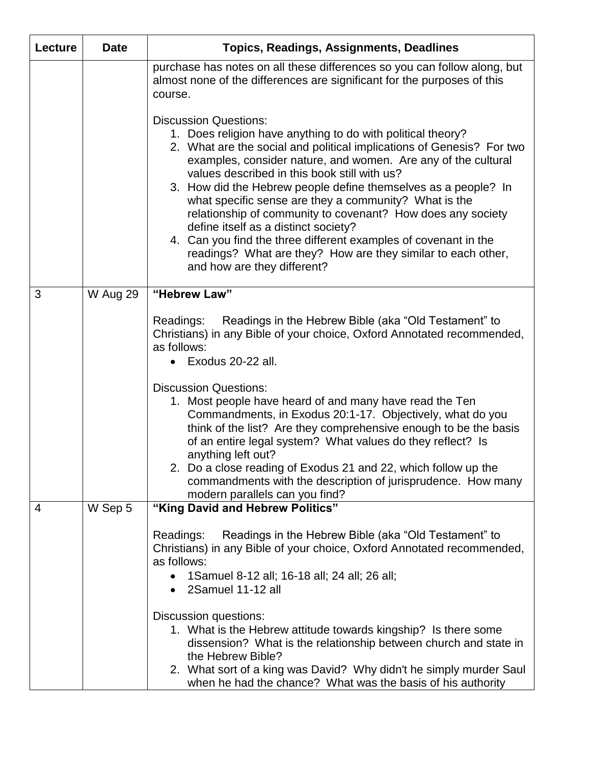| Lecture | <b>Date</b> | <b>Topics, Readings, Assignments, Deadlines</b>                                                                                                                                                                                                                                                                                                                                                                                                                                                                                                                                                                                                                                           |
|---------|-------------|-------------------------------------------------------------------------------------------------------------------------------------------------------------------------------------------------------------------------------------------------------------------------------------------------------------------------------------------------------------------------------------------------------------------------------------------------------------------------------------------------------------------------------------------------------------------------------------------------------------------------------------------------------------------------------------------|
|         |             | purchase has notes on all these differences so you can follow along, but<br>almost none of the differences are significant for the purposes of this<br>course.                                                                                                                                                                                                                                                                                                                                                                                                                                                                                                                            |
|         |             | <b>Discussion Questions:</b><br>1. Does religion have anything to do with political theory?<br>2. What are the social and political implications of Genesis? For two<br>examples, consider nature, and women. Are any of the cultural<br>values described in this book still with us?<br>3. How did the Hebrew people define themselves as a people? In<br>what specific sense are they a community? What is the<br>relationship of community to covenant? How does any society<br>define itself as a distinct society?<br>4. Can you find the three different examples of covenant in the<br>readings? What are they? How are they similar to each other,<br>and how are they different? |
| 3       | W Aug 29    | "Hebrew Law"                                                                                                                                                                                                                                                                                                                                                                                                                                                                                                                                                                                                                                                                              |
|         |             | Readings in the Hebrew Bible (aka "Old Testament" to<br>Readings:<br>Christians) in any Bible of your choice, Oxford Annotated recommended,<br>as follows:<br>Exodus 20-22 all.                                                                                                                                                                                                                                                                                                                                                                                                                                                                                                           |
|         |             | <b>Discussion Questions:</b><br>1. Most people have heard of and many have read the Ten<br>Commandments, in Exodus 20:1-17. Objectively, what do you<br>think of the list? Are they comprehensive enough to be the basis<br>of an entire legal system? What values do they reflect? Is<br>anything left out?<br>2. Do a close reading of Exodus 21 and 22, which follow up the                                                                                                                                                                                                                                                                                                            |
|         |             | commandments with the description of jurisprudence. How many<br>modern parallels can you find?                                                                                                                                                                                                                                                                                                                                                                                                                                                                                                                                                                                            |
| 4       | W Sep 5     | "King David and Hebrew Politics"                                                                                                                                                                                                                                                                                                                                                                                                                                                                                                                                                                                                                                                          |
|         |             | Readings in the Hebrew Bible (aka "Old Testament" to<br>Readings:<br>Christians) in any Bible of your choice, Oxford Annotated recommended,<br>as follows:<br>1 Samuel 8-12 all; 16-18 all; 24 all; 26 all;<br>2Samuel 11-12 all<br>$\bullet$                                                                                                                                                                                                                                                                                                                                                                                                                                             |
|         |             | Discussion questions:<br>1. What is the Hebrew attitude towards kingship? Is there some<br>dissension? What is the relationship between church and state in<br>the Hebrew Bible?<br>2. What sort of a king was David? Why didn't he simply murder Saul<br>when he had the chance? What was the basis of his authority                                                                                                                                                                                                                                                                                                                                                                     |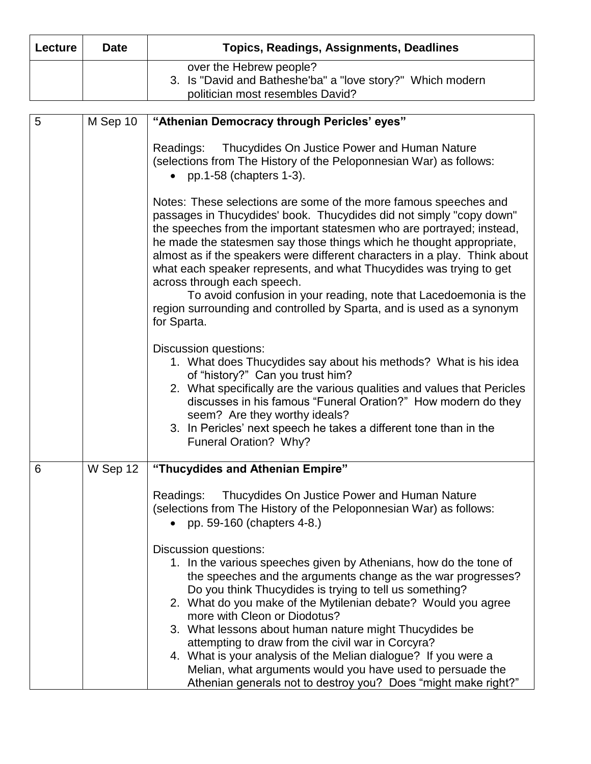| Lecture | <b>Date</b> | <b>Topics, Readings, Assignments, Deadlines</b>                                                                                                                                                                                                                                                                                                                                                                                                                                                                                                                                                                                                |
|---------|-------------|------------------------------------------------------------------------------------------------------------------------------------------------------------------------------------------------------------------------------------------------------------------------------------------------------------------------------------------------------------------------------------------------------------------------------------------------------------------------------------------------------------------------------------------------------------------------------------------------------------------------------------------------|
|         |             | over the Hebrew people?<br>3. Is "David and Batheshe'ba" a "love story?" Which modern<br>politician most resembles David?                                                                                                                                                                                                                                                                                                                                                                                                                                                                                                                      |
| 5       | M Sep 10    | "Athenian Democracy through Pericles' eyes"                                                                                                                                                                                                                                                                                                                                                                                                                                                                                                                                                                                                    |
|         |             | Thucydides On Justice Power and Human Nature<br>Readings:<br>(selections from The History of the Peloponnesian War) as follows:<br>• pp.1-58 (chapters $1-3$ ).                                                                                                                                                                                                                                                                                                                                                                                                                                                                                |
|         |             | Notes: These selections are some of the more famous speeches and<br>passages in Thucydides' book. Thucydides did not simply "copy down"<br>the speeches from the important statesmen who are portrayed; instead,<br>he made the statesmen say those things which he thought appropriate,<br>almost as if the speakers were different characters in a play. Think about<br>what each speaker represents, and what Thucydides was trying to get<br>across through each speech.<br>To avoid confusion in your reading, note that Lacedoemonia is the<br>region surrounding and controlled by Sparta, and is used as a synonym<br>for Sparta.      |
|         |             | <b>Discussion questions:</b><br>1. What does Thucydides say about his methods? What is his idea<br>of "history?" Can you trust him?<br>2. What specifically are the various qualities and values that Pericles<br>discusses in his famous "Funeral Oration?" How modern do they<br>seem? Are they worthy ideals?<br>3. In Pericles' next speech he takes a different tone than in the<br>Funeral Oration? Why?                                                                                                                                                                                                                                 |
| 6       | W Sep 12    | "Thucydides and Athenian Empire"                                                                                                                                                                                                                                                                                                                                                                                                                                                                                                                                                                                                               |
|         |             | Thucydides On Justice Power and Human Nature<br>Readings:<br>(selections from The History of the Peloponnesian War) as follows:<br>pp. 59-160 (chapters 4-8.)                                                                                                                                                                                                                                                                                                                                                                                                                                                                                  |
|         |             | <b>Discussion questions:</b><br>1. In the various speeches given by Athenians, how do the tone of<br>the speeches and the arguments change as the war progresses?<br>Do you think Thucydides is trying to tell us something?<br>2. What do you make of the Mytilenian debate? Would you agree<br>more with Cleon or Diodotus?<br>3. What lessons about human nature might Thucydides be<br>attempting to draw from the civil war in Corcyra?<br>4. What is your analysis of the Melian dialogue? If you were a<br>Melian, what arguments would you have used to persuade the<br>Athenian generals not to destroy you? Does "might make right?" |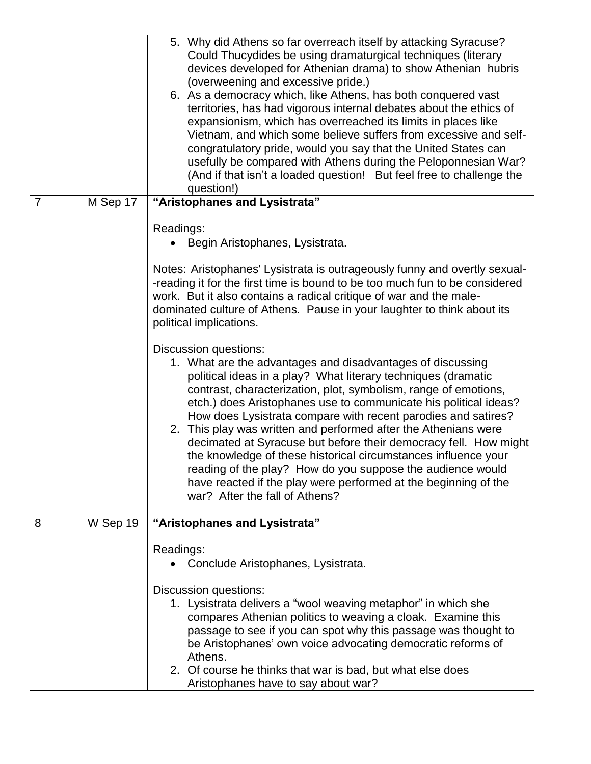|                |          | 5. Why did Athens so far overreach itself by attacking Syracuse?<br>Could Thucydides be using dramaturgical techniques (literary<br>devices developed for Athenian drama) to show Athenian hubris<br>(overweening and excessive pride.)<br>6. As a democracy which, like Athens, has both conquered vast                                                                                                                                                                                                                                                                                                                                                                                                                                        |
|----------------|----------|-------------------------------------------------------------------------------------------------------------------------------------------------------------------------------------------------------------------------------------------------------------------------------------------------------------------------------------------------------------------------------------------------------------------------------------------------------------------------------------------------------------------------------------------------------------------------------------------------------------------------------------------------------------------------------------------------------------------------------------------------|
|                |          | territories, has had vigorous internal debates about the ethics of<br>expansionism, which has overreached its limits in places like<br>Vietnam, and which some believe suffers from excessive and self-<br>congratulatory pride, would you say that the United States can<br>usefully be compared with Athens during the Peloponnesian War?<br>(And if that isn't a loaded question! But feel free to challenge the<br>question!)                                                                                                                                                                                                                                                                                                               |
| $\overline{7}$ | M Sep 17 | "Aristophanes and Lysistrata"                                                                                                                                                                                                                                                                                                                                                                                                                                                                                                                                                                                                                                                                                                                   |
|                |          | Readings:<br>Begin Aristophanes, Lysistrata.                                                                                                                                                                                                                                                                                                                                                                                                                                                                                                                                                                                                                                                                                                    |
|                |          | Notes: Aristophanes' Lysistrata is outrageously funny and overtly sexual-<br>-reading it for the first time is bound to be too much fun to be considered<br>work. But it also contains a radical critique of war and the male-<br>dominated culture of Athens. Pause in your laughter to think about its<br>political implications.                                                                                                                                                                                                                                                                                                                                                                                                             |
|                |          | <b>Discussion questions:</b><br>1. What are the advantages and disadvantages of discussing<br>political ideas in a play? What literary techniques (dramatic<br>contrast, characterization, plot, symbolism, range of emotions,<br>etch.) does Aristophanes use to communicate his political ideas?<br>How does Lysistrata compare with recent parodies and satires?<br>2. This play was written and performed after the Athenians were<br>decimated at Syracuse but before their democracy fell. How might<br>the knowledge of these historical circumstances influence your<br>reading of the play? How do you suppose the audience would<br>have reacted if the play were performed at the beginning of the<br>war? After the fall of Athens? |
| 8              | W Sep 19 | "Aristophanes and Lysistrata"                                                                                                                                                                                                                                                                                                                                                                                                                                                                                                                                                                                                                                                                                                                   |
|                |          | Readings:<br>Conclude Aristophanes, Lysistrata.                                                                                                                                                                                                                                                                                                                                                                                                                                                                                                                                                                                                                                                                                                 |
|                |          | Discussion questions:<br>1. Lysistrata delivers a "wool weaving metaphor" in which she<br>compares Athenian politics to weaving a cloak. Examine this<br>passage to see if you can spot why this passage was thought to<br>be Aristophanes' own voice advocating democratic reforms of<br>Athens.<br>2. Of course he thinks that war is bad, but what else does<br>Aristophanes have to say about war?                                                                                                                                                                                                                                                                                                                                          |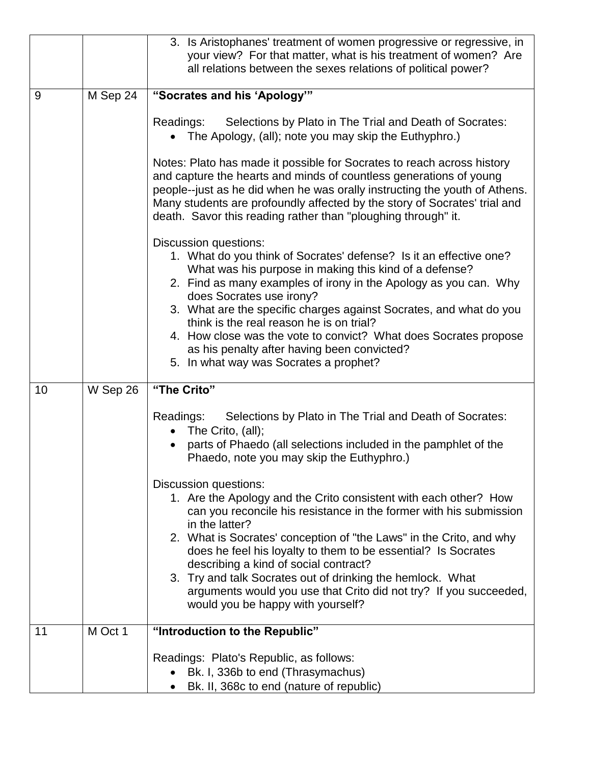|    |          | 3. Is Aristophanes' treatment of women progressive or regressive, in<br>your view? For that matter, what is his treatment of women? Are<br>all relations between the sexes relations of political power?                                                                                                                                                                                                                                                                                                                                    |
|----|----------|---------------------------------------------------------------------------------------------------------------------------------------------------------------------------------------------------------------------------------------------------------------------------------------------------------------------------------------------------------------------------------------------------------------------------------------------------------------------------------------------------------------------------------------------|
| 9  | M Sep 24 | "Socrates and his 'Apology""                                                                                                                                                                                                                                                                                                                                                                                                                                                                                                                |
|    |          | Readings:<br>Selections by Plato in The Trial and Death of Socrates:<br>The Apology, (all); note you may skip the Euthyphro.)                                                                                                                                                                                                                                                                                                                                                                                                               |
|    |          | Notes: Plato has made it possible for Socrates to reach across history<br>and capture the hearts and minds of countless generations of young<br>people--just as he did when he was orally instructing the youth of Athens.<br>Many students are profoundly affected by the story of Socrates' trial and<br>death. Savor this reading rather than "ploughing through" it.                                                                                                                                                                    |
|    |          | <b>Discussion questions:</b><br>1. What do you think of Socrates' defense? Is it an effective one?<br>What was his purpose in making this kind of a defense?<br>2. Find as many examples of irony in the Apology as you can. Why<br>does Socrates use irony?<br>3. What are the specific charges against Socrates, and what do you<br>think is the real reason he is on trial?<br>4. How close was the vote to convict? What does Socrates propose<br>as his penalty after having been convicted?<br>5. In what way was Socrates a prophet? |
| 10 | W Sep 26 | "The Crito"                                                                                                                                                                                                                                                                                                                                                                                                                                                                                                                                 |
|    |          | Selections by Plato in The Trial and Death of Socrates:<br>Readings:<br>The Crito, (all);<br>parts of Phaedo (all selections included in the pamphlet of the<br>Phaedo, note you may skip the Euthyphro.)                                                                                                                                                                                                                                                                                                                                   |
|    |          | Discussion questions:<br>1. Are the Apology and the Crito consistent with each other? How<br>can you reconcile his resistance in the former with his submission<br>in the latter?<br>2. What is Socrates' conception of "the Laws" in the Crito, and why<br>does he feel his loyalty to them to be essential? Is Socrates<br>describing a kind of social contract?<br>3. Try and talk Socrates out of drinking the hemlock. What<br>arguments would you use that Crito did not try? If you succeeded,<br>would you be happy with yourself?  |
| 11 | M Oct 1  | "Introduction to the Republic"                                                                                                                                                                                                                                                                                                                                                                                                                                                                                                              |
|    |          | Readings: Plato's Republic, as follows:<br>Bk. I, 336b to end (Thrasymachus)<br>Bk. II, 368c to end (nature of republic)                                                                                                                                                                                                                                                                                                                                                                                                                    |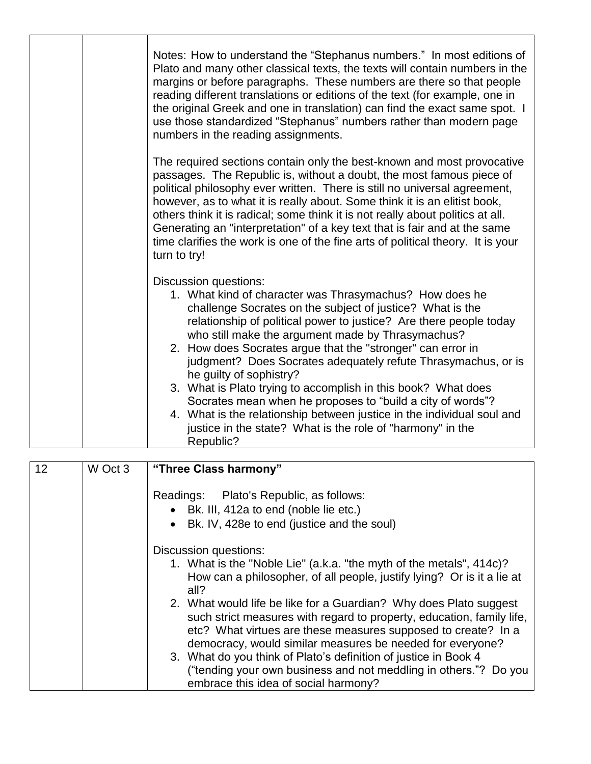|  | Notes: How to understand the "Stephanus numbers." In most editions of<br>Plato and many other classical texts, the texts will contain numbers in the<br>margins or before paragraphs. These numbers are there so that people<br>reading different translations or editions of the text (for example, one in<br>the original Greek and one in translation) can find the exact same spot. I<br>use those standardized "Stephanus" numbers rather than modern page<br>numbers in the reading assignments.                                                                                                                                                                                                                  |
|--|-------------------------------------------------------------------------------------------------------------------------------------------------------------------------------------------------------------------------------------------------------------------------------------------------------------------------------------------------------------------------------------------------------------------------------------------------------------------------------------------------------------------------------------------------------------------------------------------------------------------------------------------------------------------------------------------------------------------------|
|  | The required sections contain only the best-known and most provocative<br>passages. The Republic is, without a doubt, the most famous piece of<br>political philosophy ever written. There is still no universal agreement,<br>however, as to what it is really about. Some think it is an elitist book,<br>others think it is radical; some think it is not really about politics at all.<br>Generating an "interpretation" of a key text that is fair and at the same<br>time clarifies the work is one of the fine arts of political theory. It is your<br>turn to try!                                                                                                                                              |
|  | Discussion questions:<br>1. What kind of character was Thrasymachus? How does he<br>challenge Socrates on the subject of justice? What is the<br>relationship of political power to justice? Are there people today<br>who still make the argument made by Thrasymachus?<br>2. How does Socrates argue that the "stronger" can error in<br>judgment? Does Socrates adequately refute Thrasymachus, or is<br>he guilty of sophistry?<br>3. What is Plato trying to accomplish in this book? What does<br>Socrates mean when he proposes to "build a city of words"?<br>4. What is the relationship between justice in the individual soul and<br>justice in the state? What is the role of "harmony" in the<br>Republic? |

| 12 | W Oct 3 | "Three Class harmony"                                                                                                                                                                                                                                                    |
|----|---------|--------------------------------------------------------------------------------------------------------------------------------------------------------------------------------------------------------------------------------------------------------------------------|
|    |         | Readings: Plato's Republic, as follows:                                                                                                                                                                                                                                  |
|    |         | • Bk. III, 412a to end (noble lie etc.)                                                                                                                                                                                                                                  |
|    |         | Bk. IV, 428e to end (justice and the soul)                                                                                                                                                                                                                               |
|    |         | Discussion questions:                                                                                                                                                                                                                                                    |
|    |         | 1. What is the "Noble Lie" (a.k.a. "the myth of the metals", 414c)?<br>How can a philosopher, of all people, justify lying? Or is it a lie at<br>all?                                                                                                                    |
|    |         | 2. What would life be like for a Guardian? Why does Plato suggest<br>such strict measures with regard to property, education, family life,<br>etc? What virtues are these measures supposed to create? In a<br>democracy, would similar measures be needed for everyone? |
|    |         | 3. What do you think of Plato's definition of justice in Book 4<br>("tending your own business and not meddling in others."? Do you<br>embrace this idea of social harmony?                                                                                              |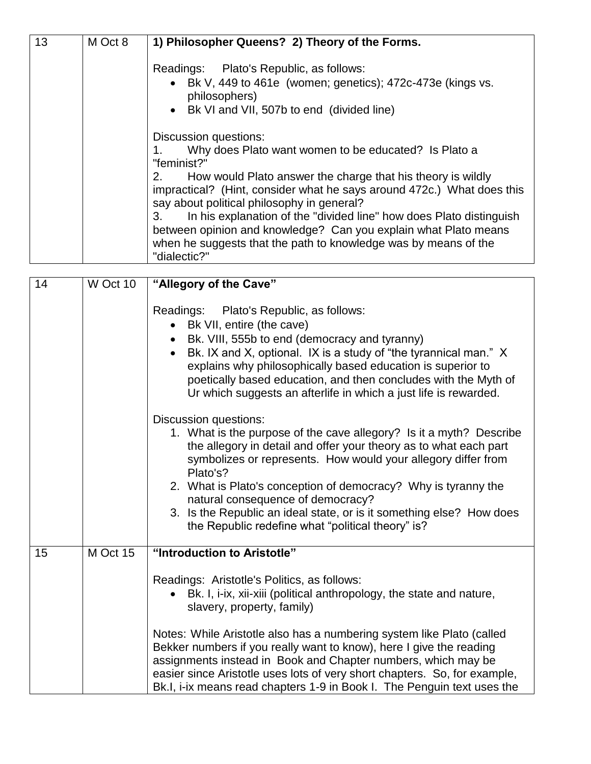| 13 | M Oct 8 | 1) Philosopher Queens? 2) Theory of the Forms.                                                                                                                                                                                                                                                                                                                                                                                                                                                                               |
|----|---------|------------------------------------------------------------------------------------------------------------------------------------------------------------------------------------------------------------------------------------------------------------------------------------------------------------------------------------------------------------------------------------------------------------------------------------------------------------------------------------------------------------------------------|
|    |         | Readings: Plato's Republic, as follows:<br>• Bk V, 449 to 461e (women; genetics); 472c-473e (kings vs.<br>philosophers)<br>• Bk VI and VII, 507b to end (divided line)                                                                                                                                                                                                                                                                                                                                                       |
|    |         | Discussion questions:<br>Why does Plato want women to be educated? Is Plato a<br>"feminist?"<br>How would Plato answer the charge that his theory is wildly<br>2.<br>impractical? (Hint, consider what he says around 472c.) What does this<br>say about political philosophy in general?<br>In his explanation of the "divided line" how does Plato distinguish<br>3.<br>between opinion and knowledge? Can you explain what Plato means<br>when he suggests that the path to knowledge was by means of the<br>"dialectic?" |

| 14 | W Oct 10 | "Allegory of the Cave"                                                                                                                                                                                                                                                                                                                                                                                                                                                                                                                                    |
|----|----------|-----------------------------------------------------------------------------------------------------------------------------------------------------------------------------------------------------------------------------------------------------------------------------------------------------------------------------------------------------------------------------------------------------------------------------------------------------------------------------------------------------------------------------------------------------------|
|    |          | Readings: Plato's Republic, as follows:<br>Bk VII, entire (the cave)<br>Bk. VIII, 555b to end (democracy and tyranny)<br>Bk. IX and X, optional. IX is a study of "the tyrannical man." X<br>$\bullet$<br>explains why philosophically based education is superior to<br>poetically based education, and then concludes with the Myth of<br>Ur which suggests an afterlife in which a just life is rewarded.                                                                                                                                              |
|    |          | Discussion questions:<br>1. What is the purpose of the cave allegory? Is it a myth? Describe<br>the allegory in detail and offer your theory as to what each part<br>symbolizes or represents. How would your allegory differ from<br>Plato's?<br>2. What is Plato's conception of democracy? Why is tyranny the<br>natural consequence of democracy?<br>3. Is the Republic an ideal state, or is it something else? How does<br>the Republic redefine what "political theory" is?                                                                        |
| 15 | M Oct 15 | "Introduction to Aristotle"<br>Readings: Aristotle's Politics, as follows:<br>Bk. I, i-ix, xii-xiii (political anthropology, the state and nature,<br>slavery, property, family)<br>Notes: While Aristotle also has a numbering system like Plato (called<br>Bekker numbers if you really want to know), here I give the reading<br>assignments instead in Book and Chapter numbers, which may be<br>easier since Aristotle uses lots of very short chapters. So, for example,<br>Bk.I, i-ix means read chapters 1-9 in Book I. The Penguin text uses the |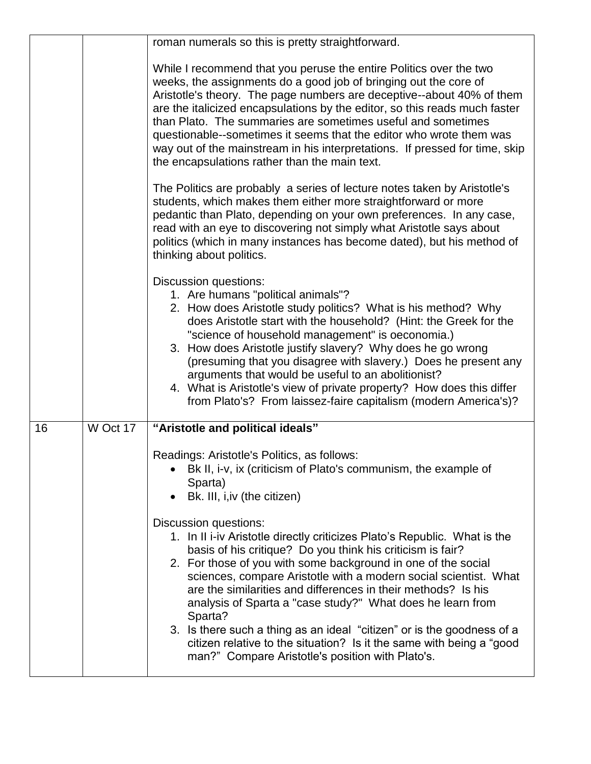|    |          | roman numerals so this is pretty straightforward.                                                                                                                                                                                                                                                                                                                                                                                                                                                                                                                                                                                                     |
|----|----------|-------------------------------------------------------------------------------------------------------------------------------------------------------------------------------------------------------------------------------------------------------------------------------------------------------------------------------------------------------------------------------------------------------------------------------------------------------------------------------------------------------------------------------------------------------------------------------------------------------------------------------------------------------|
|    |          | While I recommend that you peruse the entire Politics over the two<br>weeks, the assignments do a good job of bringing out the core of<br>Aristotle's theory. The page numbers are deceptive--about 40% of them<br>are the italicized encapsulations by the editor, so this reads much faster<br>than Plato. The summaries are sometimes useful and sometimes<br>questionable--sometimes it seems that the editor who wrote them was<br>way out of the mainstream in his interpretations. If pressed for time, skip<br>the encapsulations rather than the main text.                                                                                  |
|    |          | The Politics are probably a series of lecture notes taken by Aristotle's<br>students, which makes them either more straightforward or more<br>pedantic than Plato, depending on your own preferences. In any case,<br>read with an eye to discovering not simply what Aristotle says about<br>politics (which in many instances has become dated), but his method of<br>thinking about politics.                                                                                                                                                                                                                                                      |
|    |          | <b>Discussion questions:</b><br>1. Are humans "political animals"?<br>2. How does Aristotle study politics? What is his method? Why<br>does Aristotle start with the household? (Hint: the Greek for the<br>"science of household management" is oeconomia.)<br>3. How does Aristotle justify slavery? Why does he go wrong<br>(presuming that you disagree with slavery.) Does he present any<br>arguments that would be useful to an abolitionist?<br>4. What is Aristotle's view of private property? How does this differ<br>from Plato's? From laissez-faire capitalism (modern America's)?                                                      |
| 16 | W Oct 17 | "Aristotle and political ideals"                                                                                                                                                                                                                                                                                                                                                                                                                                                                                                                                                                                                                      |
|    |          | Readings: Aristotle's Politics, as follows:<br>Bk II, i-v, ix (criticism of Plato's communism, the example of<br>Sparta)<br>Bk. III, i, iv (the citizen)                                                                                                                                                                                                                                                                                                                                                                                                                                                                                              |
|    |          | Discussion questions:<br>1. In II i-iv Aristotle directly criticizes Plato's Republic. What is the<br>basis of his critique? Do you think his criticism is fair?<br>2. For those of you with some background in one of the social<br>sciences, compare Aristotle with a modern social scientist. What<br>are the similarities and differences in their methods? Is his<br>analysis of Sparta a "case study?" What does he learn from<br>Sparta?<br>3. Is there such a thing as an ideal "citizen" or is the goodness of a<br>citizen relative to the situation? Is it the same with being a "good<br>man?" Compare Aristotle's position with Plato's. |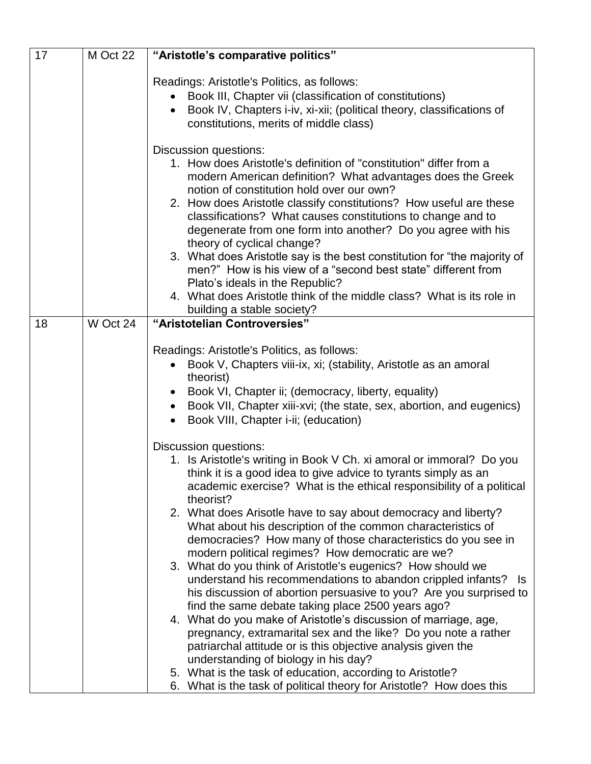| 17 | M Oct 22 | "Aristotle's comparative politics"                                                                                                                                                                                                                                                                                                                                                                                                                                                                                                                                                                                                                                                                                                                                                                                                                                                                                                                                                                                                                                                                                                                      |
|----|----------|---------------------------------------------------------------------------------------------------------------------------------------------------------------------------------------------------------------------------------------------------------------------------------------------------------------------------------------------------------------------------------------------------------------------------------------------------------------------------------------------------------------------------------------------------------------------------------------------------------------------------------------------------------------------------------------------------------------------------------------------------------------------------------------------------------------------------------------------------------------------------------------------------------------------------------------------------------------------------------------------------------------------------------------------------------------------------------------------------------------------------------------------------------|
|    |          | Readings: Aristotle's Politics, as follows:<br>Book III, Chapter vii (classification of constitutions)<br>Book IV, Chapters i-iv, xi-xii; (political theory, classifications of<br>$\bullet$<br>constitutions, merits of middle class)                                                                                                                                                                                                                                                                                                                                                                                                                                                                                                                                                                                                                                                                                                                                                                                                                                                                                                                  |
|    |          | Discussion questions:<br>1. How does Aristotle's definition of "constitution" differ from a<br>modern American definition? What advantages does the Greek<br>notion of constitution hold over our own?<br>2. How does Aristotle classify constitutions? How useful are these<br>classifications? What causes constitutions to change and to<br>degenerate from one form into another? Do you agree with his<br>theory of cyclical change?<br>3. What does Aristotle say is the best constitution for "the majority of<br>men?" How is his view of a "second best state" different from<br>Plato's ideals in the Republic?<br>4. What does Aristotle think of the middle class? What is its role in<br>building a stable society?                                                                                                                                                                                                                                                                                                                                                                                                                        |
| 18 | W Oct 24 | "Aristotelian Controversies"                                                                                                                                                                                                                                                                                                                                                                                                                                                                                                                                                                                                                                                                                                                                                                                                                                                                                                                                                                                                                                                                                                                            |
|    |          | Readings: Aristotle's Politics, as follows:<br>Book V, Chapters viii-ix, xi; (stability, Aristotle as an amoral<br>theorist)<br>Book VI, Chapter ii; (democracy, liberty, equality)<br>Book VII, Chapter xiii-xvi; (the state, sex, abortion, and eugenics)<br>$\bullet$<br>Book VIII, Chapter i-ii; (education)                                                                                                                                                                                                                                                                                                                                                                                                                                                                                                                                                                                                                                                                                                                                                                                                                                        |
|    |          | Discussion questions:<br>1. Is Aristotle's writing in Book V Ch. xi amoral or immoral? Do you<br>think it is a good idea to give advice to tyrants simply as an<br>academic exercise? What is the ethical responsibility of a political<br>theorist?<br>2. What does Arisotle have to say about democracy and liberty?<br>What about his description of the common characteristics of<br>democracies? How many of those characteristics do you see in<br>modern political regimes? How democratic are we?<br>3. What do you think of Aristotle's eugenics? How should we<br>understand his recommendations to abandon crippled infants? Is<br>his discussion of abortion persuasive to you? Are you surprised to<br>find the same debate taking place 2500 years ago?<br>4. What do you make of Aristotle's discussion of marriage, age,<br>pregnancy, extramarital sex and the like? Do you note a rather<br>patriarchal attitude or is this objective analysis given the<br>understanding of biology in his day?<br>5. What is the task of education, according to Aristotle?<br>6. What is the task of political theory for Aristotle? How does this |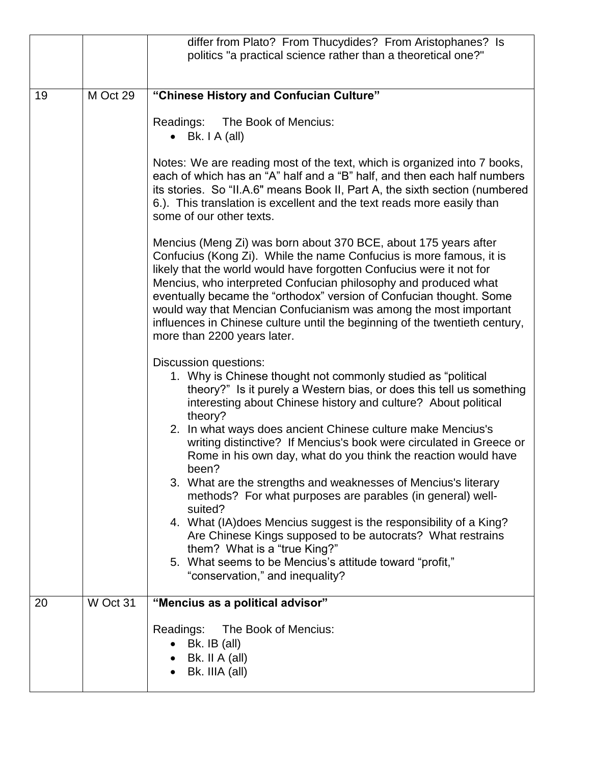|    |          | differ from Plato? From Thucydides? From Aristophanes? Is                                                                                                                                                                                                                                                                                                                                                                                                                                                                                                                                                                                                                                                                                                                                                                                                                       |
|----|----------|---------------------------------------------------------------------------------------------------------------------------------------------------------------------------------------------------------------------------------------------------------------------------------------------------------------------------------------------------------------------------------------------------------------------------------------------------------------------------------------------------------------------------------------------------------------------------------------------------------------------------------------------------------------------------------------------------------------------------------------------------------------------------------------------------------------------------------------------------------------------------------|
|    |          | politics "a practical science rather than a theoretical one?"                                                                                                                                                                                                                                                                                                                                                                                                                                                                                                                                                                                                                                                                                                                                                                                                                   |
|    |          |                                                                                                                                                                                                                                                                                                                                                                                                                                                                                                                                                                                                                                                                                                                                                                                                                                                                                 |
| 19 | M Oct 29 | "Chinese History and Confucian Culture"                                                                                                                                                                                                                                                                                                                                                                                                                                                                                                                                                                                                                                                                                                                                                                                                                                         |
|    |          | Readings:<br>The Book of Mencius:<br>$\bullet$ Bk. I A (all)                                                                                                                                                                                                                                                                                                                                                                                                                                                                                                                                                                                                                                                                                                                                                                                                                    |
|    |          | Notes: We are reading most of the text, which is organized into 7 books,<br>each of which has an "A" half and a "B" half, and then each half numbers<br>its stories. So "II.A.6" means Book II, Part A, the sixth section (numbered<br>6.). This translation is excellent and the text reads more easily than<br>some of our other texts.                                                                                                                                                                                                                                                                                                                                                                                                                                                                                                                                       |
|    |          | Mencius (Meng Zi) was born about 370 BCE, about 175 years after<br>Confucius (Kong Zi). While the name Confucius is more famous, it is<br>likely that the world would have forgotten Confucius were it not for<br>Mencius, who interpreted Confucian philosophy and produced what<br>eventually became the "orthodox" version of Confucian thought. Some<br>would way that Mencian Confucianism was among the most important<br>influences in Chinese culture until the beginning of the twentieth century,<br>more than 2200 years later.                                                                                                                                                                                                                                                                                                                                      |
|    |          | <b>Discussion questions:</b><br>1. Why is Chinese thought not commonly studied as "political<br>theory?" Is it purely a Western bias, or does this tell us something<br>interesting about Chinese history and culture? About political<br>theory?<br>2. In what ways does ancient Chinese culture make Mencius's<br>writing distinctive? If Mencius's book were circulated in Greece or<br>Rome in his own day, what do you think the reaction would have<br>been?<br>3. What are the strengths and weaknesses of Mencius's literary<br>methods? For what purposes are parables (in general) well-<br>suited?<br>4. What (IA) does Mencius suggest is the responsibility of a King?<br>Are Chinese Kings supposed to be autocrats? What restrains<br>them? What is a "true King?"<br>5. What seems to be Mencius's attitude toward "profit,"<br>"conservation," and inequality? |
| 20 | W Oct 31 | "Mencius as a political advisor"                                                                                                                                                                                                                                                                                                                                                                                                                                                                                                                                                                                                                                                                                                                                                                                                                                                |
|    |          | The Book of Mencius:<br>Readings:<br>Bk. IB (all)<br>Bk. II A (all)<br>Bk. IIIA (all)                                                                                                                                                                                                                                                                                                                                                                                                                                                                                                                                                                                                                                                                                                                                                                                           |
|    |          |                                                                                                                                                                                                                                                                                                                                                                                                                                                                                                                                                                                                                                                                                                                                                                                                                                                                                 |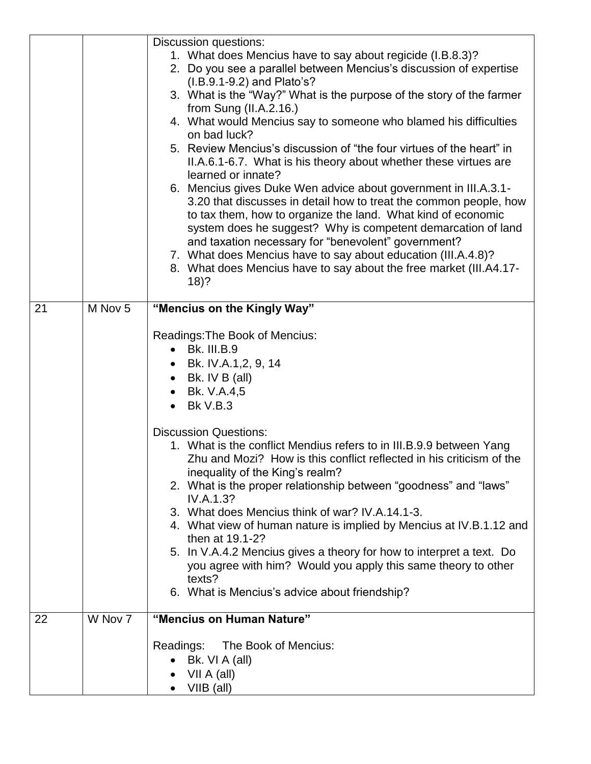|    |         | Discussion questions:                                                                                                                                                                                                                                                                                                                                                                                                                                                                                                                                                                                                                                                                                                                                                                           |
|----|---------|-------------------------------------------------------------------------------------------------------------------------------------------------------------------------------------------------------------------------------------------------------------------------------------------------------------------------------------------------------------------------------------------------------------------------------------------------------------------------------------------------------------------------------------------------------------------------------------------------------------------------------------------------------------------------------------------------------------------------------------------------------------------------------------------------|
|    |         | 1. What does Mencius have to say about regicide (I.B.8.3)?                                                                                                                                                                                                                                                                                                                                                                                                                                                                                                                                                                                                                                                                                                                                      |
|    |         | 2. Do you see a parallel between Mencius's discussion of expertise                                                                                                                                                                                                                                                                                                                                                                                                                                                                                                                                                                                                                                                                                                                              |
|    |         | (I.B.9.1-9.2) and Plato's?                                                                                                                                                                                                                                                                                                                                                                                                                                                                                                                                                                                                                                                                                                                                                                      |
|    |         | 3. What is the "Way?" What is the purpose of the story of the farmer<br>from Sung $(II.A.2.16.)$                                                                                                                                                                                                                                                                                                                                                                                                                                                                                                                                                                                                                                                                                                |
|    |         | 4. What would Mencius say to someone who blamed his difficulties<br>on bad luck?                                                                                                                                                                                                                                                                                                                                                                                                                                                                                                                                                                                                                                                                                                                |
|    |         | 5. Review Mencius's discussion of "the four virtues of the heart" in<br>II.A.6.1-6.7. What is his theory about whether these virtues are<br>learned or innate?                                                                                                                                                                                                                                                                                                                                                                                                                                                                                                                                                                                                                                  |
|    |         | 6. Mencius gives Duke Wen advice about government in III.A.3.1-<br>3.20 that discusses in detail how to treat the common people, how<br>to tax them, how to organize the land. What kind of economic<br>system does he suggest? Why is competent demarcation of land<br>and taxation necessary for "benevolent" government?<br>7. What does Mencius have to say about education (III.A.4.8)?<br>8. What does Mencius have to say about the free market (III.A4.17-<br>$18)$ ?                                                                                                                                                                                                                                                                                                                   |
| 21 | M Nov 5 | "Mencius on the Kingly Way"                                                                                                                                                                                                                                                                                                                                                                                                                                                                                                                                                                                                                                                                                                                                                                     |
|    |         | Readings: The Book of Mencius:<br>• Bk. III.B.9<br>• Bk. IV.A.1,2, 9, 14<br>• Bk. IV B (all)<br>Bk. V.A.4,5<br><b>Bk V.B.3</b><br>$\bullet$<br><b>Discussion Questions:</b><br>1. What is the conflict Mendius refers to in III.B.9.9 between Yang<br>Zhu and Mozi? How is this conflict reflected in his criticism of the<br>inequality of the King's realm?<br>2. What is the proper relationship between "goodness" and "laws"<br>IV.A.1.3?<br>3. What does Mencius think of war? IV.A.14.1-3.<br>4. What view of human nature is implied by Mencius at IV.B.1.12 and<br>then at 19.1-2?<br>5. In V.A.4.2 Mencius gives a theory for how to interpret a text. Do<br>you agree with him? Would you apply this same theory to other<br>texts?<br>6. What is Mencius's advice about friendship? |
| 22 | W Nov 7 | "Mencius on Human Nature"                                                                                                                                                                                                                                                                                                                                                                                                                                                                                                                                                                                                                                                                                                                                                                       |
|    |         | Readings: The Book of Mencius:                                                                                                                                                                                                                                                                                                                                                                                                                                                                                                                                                                                                                                                                                                                                                                  |
|    |         | Bk. VI A (all)                                                                                                                                                                                                                                                                                                                                                                                                                                                                                                                                                                                                                                                                                                                                                                                  |
|    |         | VII A (all)<br>VIIB (all)                                                                                                                                                                                                                                                                                                                                                                                                                                                                                                                                                                                                                                                                                                                                                                       |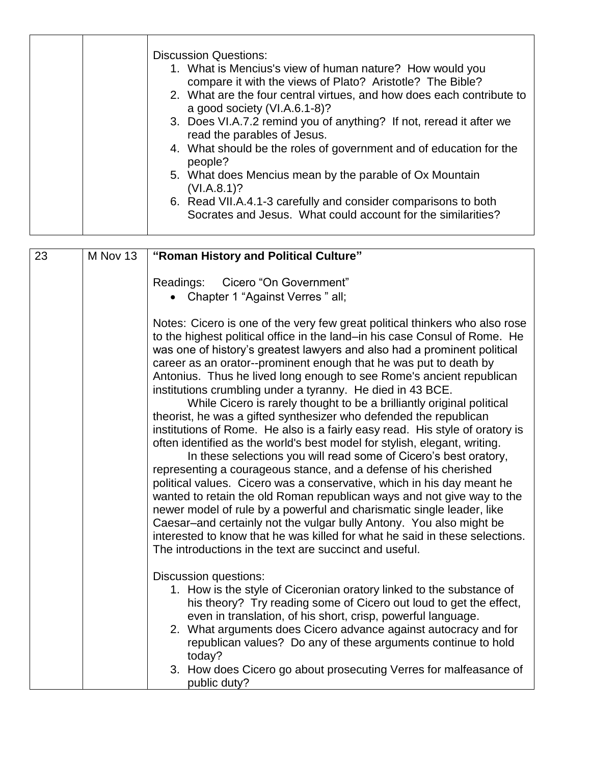| read the parables of Jesus.<br>4. What should be the roles of government and of education for the<br>people?<br>5. What does Mencius mean by the parable of Ox Mountain<br>(VI.A.8.1)?<br>6. Read VII.A.4.1-3 carefully and consider comparisons to both<br>Socrates and Jesus. What could account for the similarities? | <b>Discussion Questions:</b><br>1. What is Mencius's view of human nature? How would you<br>compare it with the views of Plato? Aristotle? The Bible?<br>2. What are the four central virtues, and how does each contribute to<br>a good society (VI.A.6.1-8)?<br>3. Does VI.A.7.2 remind you of anything? If not, reread it after we |
|--------------------------------------------------------------------------------------------------------------------------------------------------------------------------------------------------------------------------------------------------------------------------------------------------------------------------|---------------------------------------------------------------------------------------------------------------------------------------------------------------------------------------------------------------------------------------------------------------------------------------------------------------------------------------|
|--------------------------------------------------------------------------------------------------------------------------------------------------------------------------------------------------------------------------------------------------------------------------------------------------------------------------|---------------------------------------------------------------------------------------------------------------------------------------------------------------------------------------------------------------------------------------------------------------------------------------------------------------------------------------|

| 23 | M Nov 13 | "Roman History and Political Culture"                                                                                                                                                                                                                                                                                                                                                                                                                                                                                                                                                                                                                                                                                                                                                                                                                                                                                                                                                                                                                                                                                                                                                                                                                                                                                                            |
|----|----------|--------------------------------------------------------------------------------------------------------------------------------------------------------------------------------------------------------------------------------------------------------------------------------------------------------------------------------------------------------------------------------------------------------------------------------------------------------------------------------------------------------------------------------------------------------------------------------------------------------------------------------------------------------------------------------------------------------------------------------------------------------------------------------------------------------------------------------------------------------------------------------------------------------------------------------------------------------------------------------------------------------------------------------------------------------------------------------------------------------------------------------------------------------------------------------------------------------------------------------------------------------------------------------------------------------------------------------------------------|
|    |          | Cicero "On Government"<br>Readings:<br>• Chapter 1 "Against Verres" all;                                                                                                                                                                                                                                                                                                                                                                                                                                                                                                                                                                                                                                                                                                                                                                                                                                                                                                                                                                                                                                                                                                                                                                                                                                                                         |
|    |          | Notes: Cicero is one of the very few great political thinkers who also rose<br>to the highest political office in the land-in his case Consul of Rome. He<br>was one of history's greatest lawyers and also had a prominent political<br>career as an orator--prominent enough that he was put to death by<br>Antonius. Thus he lived long enough to see Rome's ancient republican<br>institutions crumbling under a tyranny. He died in 43 BCE.<br>While Cicero is rarely thought to be a brilliantly original political<br>theorist, he was a gifted synthesizer who defended the republican<br>institutions of Rome. He also is a fairly easy read. His style of oratory is<br>often identified as the world's best model for stylish, elegant, writing.<br>In these selections you will read some of Cicero's best oratory,<br>representing a courageous stance, and a defense of his cherished<br>political values. Cicero was a conservative, which in his day meant he<br>wanted to retain the old Roman republican ways and not give way to the<br>newer model of rule by a powerful and charismatic single leader, like<br>Caesar-and certainly not the vulgar bully Antony. You also might be<br>interested to know that he was killed for what he said in these selections.<br>The introductions in the text are succinct and useful. |
|    |          | Discussion questions:<br>1. How is the style of Ciceronian oratory linked to the substance of<br>his theory? Try reading some of Cicero out loud to get the effect,<br>even in translation, of his short, crisp, powerful language.<br>2. What arguments does Cicero advance against autocracy and for<br>republican values? Do any of these arguments continue to hold<br>today?<br>3. How does Cicero go about prosecuting Verres for malfeasance of<br>public duty?                                                                                                                                                                                                                                                                                                                                                                                                                                                                                                                                                                                                                                                                                                                                                                                                                                                                           |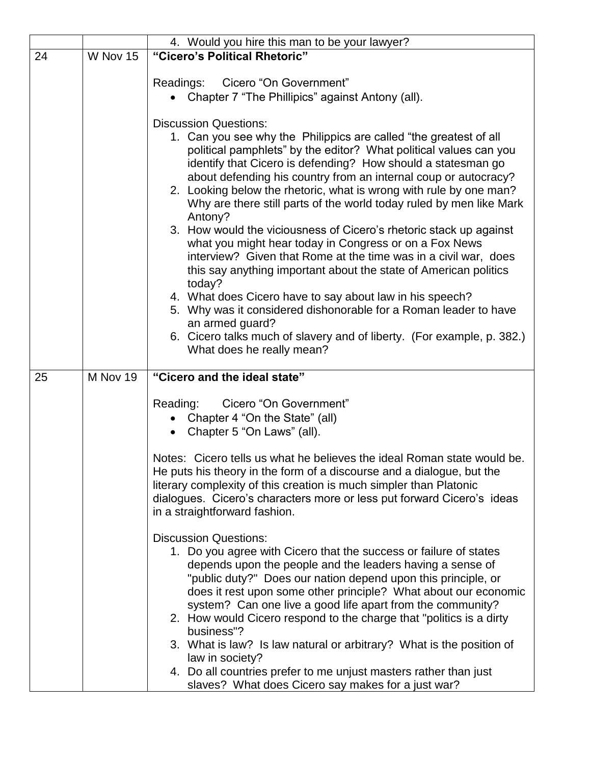|    |          | 4. Would you hire this man to be your lawyer?                                                                                                                                                                                                                                                                                                                                                                                                                                                                                                                                                                                                                                                                                                                                                                                                                                                                                                                                                                |
|----|----------|--------------------------------------------------------------------------------------------------------------------------------------------------------------------------------------------------------------------------------------------------------------------------------------------------------------------------------------------------------------------------------------------------------------------------------------------------------------------------------------------------------------------------------------------------------------------------------------------------------------------------------------------------------------------------------------------------------------------------------------------------------------------------------------------------------------------------------------------------------------------------------------------------------------------------------------------------------------------------------------------------------------|
| 24 | W Nov 15 | "Cicero's Political Rhetoric"                                                                                                                                                                                                                                                                                                                                                                                                                                                                                                                                                                                                                                                                                                                                                                                                                                                                                                                                                                                |
|    |          | Cicero "On Government"<br>Readings:<br>Chapter 7 "The Phillipics" against Antony (all).                                                                                                                                                                                                                                                                                                                                                                                                                                                                                                                                                                                                                                                                                                                                                                                                                                                                                                                      |
|    |          | <b>Discussion Questions:</b><br>1. Can you see why the Philippics are called "the greatest of all<br>political pamphlets" by the editor? What political values can you<br>identify that Cicero is defending? How should a statesman go<br>about defending his country from an internal coup or autocracy?<br>2. Looking below the rhetoric, what is wrong with rule by one man?<br>Why are there still parts of the world today ruled by men like Mark<br>Antony?<br>3. How would the viciousness of Cicero's rhetoric stack up against<br>what you might hear today in Congress or on a Fox News<br>interview? Given that Rome at the time was in a civil war, does<br>this say anything important about the state of American politics<br>today?<br>4. What does Cicero have to say about law in his speech?<br>5. Why was it considered dishonorable for a Roman leader to have<br>an armed guard?<br>6. Cicero talks much of slavery and of liberty. (For example, p. 382.)<br>What does he really mean? |
| 25 | M Nov 19 | "Cicero and the ideal state"                                                                                                                                                                                                                                                                                                                                                                                                                                                                                                                                                                                                                                                                                                                                                                                                                                                                                                                                                                                 |
|    |          | Reading:<br>Cicero "On Government"<br>Chapter 4 "On the State" (all)<br>Chapter 5 "On Laws" (all).                                                                                                                                                                                                                                                                                                                                                                                                                                                                                                                                                                                                                                                                                                                                                                                                                                                                                                           |
|    |          | Notes: Cicero tells us what he believes the ideal Roman state would be.<br>He puts his theory in the form of a discourse and a dialogue, but the<br>literary complexity of this creation is much simpler than Platonic<br>dialogues. Cicero's characters more or less put forward Cicero's ideas<br>in a straightforward fashion.                                                                                                                                                                                                                                                                                                                                                                                                                                                                                                                                                                                                                                                                            |
|    |          | <b>Discussion Questions:</b><br>1. Do you agree with Cicero that the success or failure of states<br>depends upon the people and the leaders having a sense of<br>"public duty?" Does our nation depend upon this principle, or<br>does it rest upon some other principle? What about our economic<br>system? Can one live a good life apart from the community?<br>2. How would Cicero respond to the charge that "politics is a dirty"<br>business"?<br>3. What is law? Is law natural or arbitrary? What is the position of<br>law in society?<br>4. Do all countries prefer to me unjust masters rather than just<br>slaves? What does Cicero say makes for a just war?                                                                                                                                                                                                                                                                                                                                  |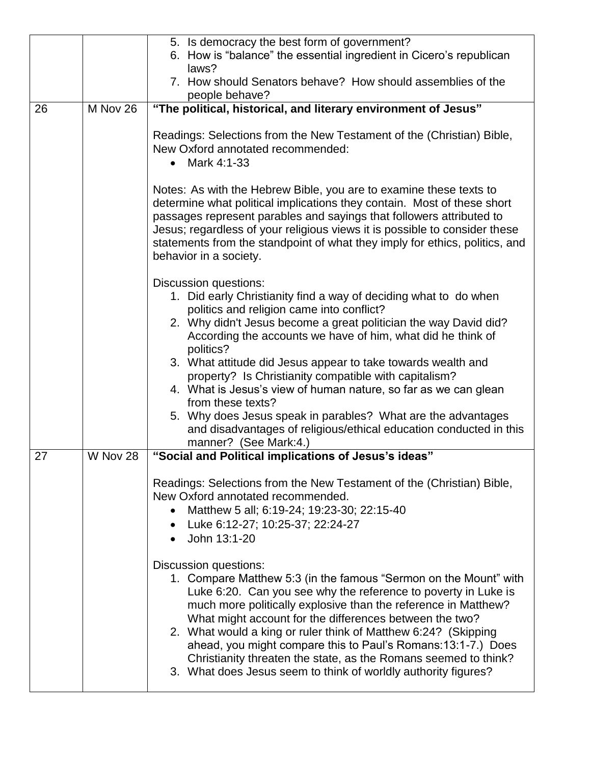|    |          | 5. Is democracy the best form of government?                                                                                                                                                                                                                                                                                                                                                                                                                                                                                                                                                                                                  |
|----|----------|-----------------------------------------------------------------------------------------------------------------------------------------------------------------------------------------------------------------------------------------------------------------------------------------------------------------------------------------------------------------------------------------------------------------------------------------------------------------------------------------------------------------------------------------------------------------------------------------------------------------------------------------------|
|    |          | 6. How is "balance" the essential ingredient in Cicero's republican<br>laws?                                                                                                                                                                                                                                                                                                                                                                                                                                                                                                                                                                  |
|    |          | 7. How should Senators behave? How should assemblies of the<br>people behave?                                                                                                                                                                                                                                                                                                                                                                                                                                                                                                                                                                 |
| 26 | M Nov 26 | "The political, historical, and literary environment of Jesus"                                                                                                                                                                                                                                                                                                                                                                                                                                                                                                                                                                                |
|    |          |                                                                                                                                                                                                                                                                                                                                                                                                                                                                                                                                                                                                                                               |
|    |          | Readings: Selections from the New Testament of the (Christian) Bible,<br>New Oxford annotated recommended:<br>Mark 4:1-33<br>$\bullet$                                                                                                                                                                                                                                                                                                                                                                                                                                                                                                        |
|    |          | Notes: As with the Hebrew Bible, you are to examine these texts to<br>determine what political implications they contain. Most of these short<br>passages represent parables and sayings that followers attributed to<br>Jesus; regardless of your religious views it is possible to consider these<br>statements from the standpoint of what they imply for ethics, politics, and<br>behavior in a society.                                                                                                                                                                                                                                  |
|    |          | Discussion questions:<br>1. Did early Christianity find a way of deciding what to do when<br>politics and religion came into conflict?<br>2. Why didn't Jesus become a great politician the way David did?<br>According the accounts we have of him, what did he think of<br>politics?<br>3. What attitude did Jesus appear to take towards wealth and<br>property? Is Christianity compatible with capitalism?<br>4. What is Jesus's view of human nature, so far as we can glean<br>from these texts?<br>5. Why does Jesus speak in parables? What are the advantages<br>and disadvantages of religious/ethical education conducted in this |
|    |          | manner? (See Mark:4.)                                                                                                                                                                                                                                                                                                                                                                                                                                                                                                                                                                                                                         |
| 27 | W Nov 28 | "Social and Political implications of Jesus's ideas"                                                                                                                                                                                                                                                                                                                                                                                                                                                                                                                                                                                          |
|    |          | Readings: Selections from the New Testament of the (Christian) Bible,<br>New Oxford annotated recommended.<br>Matthew 5 all; 6:19-24; 19:23-30; 22:15-40<br>• Luke 6:12-27; 10:25-37; 22:24-27<br>John 13:1-20                                                                                                                                                                                                                                                                                                                                                                                                                                |
|    |          | <b>Discussion questions:</b><br>1. Compare Matthew 5:3 (in the famous "Sermon on the Mount" with<br>Luke 6:20. Can you see why the reference to poverty in Luke is<br>much more politically explosive than the reference in Matthew?<br>What might account for the differences between the two?<br>2. What would a king or ruler think of Matthew 6:24? (Skipping<br>ahead, you might compare this to Paul's Romans: 13:1-7.) Does<br>Christianity threaten the state, as the Romans seemed to think?<br>3. What does Jesus seem to think of worldly authority figures?                                                                       |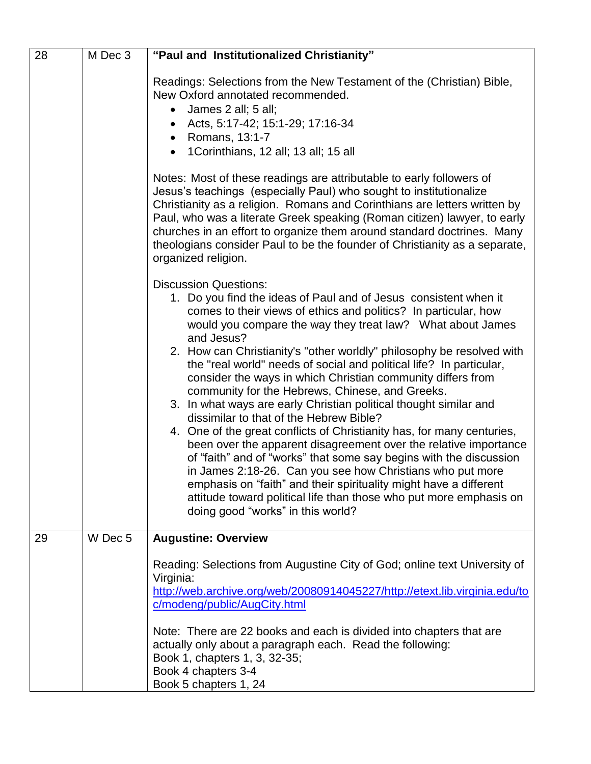| 28 | M Dec 3 | "Paul and Institutionalized Christianity"                                                                                                                                                                                                                                                                                                                                                                                                                                                                                                                                                                                                                                                                                                                                                                                                                                                                                                                                                                                                                                                          |
|----|---------|----------------------------------------------------------------------------------------------------------------------------------------------------------------------------------------------------------------------------------------------------------------------------------------------------------------------------------------------------------------------------------------------------------------------------------------------------------------------------------------------------------------------------------------------------------------------------------------------------------------------------------------------------------------------------------------------------------------------------------------------------------------------------------------------------------------------------------------------------------------------------------------------------------------------------------------------------------------------------------------------------------------------------------------------------------------------------------------------------|
|    |         | Readings: Selections from the New Testament of the (Christian) Bible,<br>New Oxford annotated recommended.<br>• James 2 all; 5 all;<br>• Acts, 5:17-42; 15:1-29; 17:16-34<br>• Romans, 13:1-7<br>1Corinthians, 12 all; 13 all; 15 all                                                                                                                                                                                                                                                                                                                                                                                                                                                                                                                                                                                                                                                                                                                                                                                                                                                              |
|    |         | Notes: Most of these readings are attributable to early followers of<br>Jesus's teachings (especially Paul) who sought to institutionalize<br>Christianity as a religion. Romans and Corinthians are letters written by<br>Paul, who was a literate Greek speaking (Roman citizen) lawyer, to early<br>churches in an effort to organize them around standard doctrines. Many<br>theologians consider Paul to be the founder of Christianity as a separate,<br>organized religion.                                                                                                                                                                                                                                                                                                                                                                                                                                                                                                                                                                                                                 |
|    |         | <b>Discussion Questions:</b><br>1. Do you find the ideas of Paul and of Jesus consistent when it<br>comes to their views of ethics and politics? In particular, how<br>would you compare the way they treat law? What about James<br>and Jesus?<br>2. How can Christianity's "other worldly" philosophy be resolved with<br>the "real world" needs of social and political life? In particular,<br>consider the ways in which Christian community differs from<br>community for the Hebrews, Chinese, and Greeks.<br>3. In what ways are early Christian political thought similar and<br>dissimilar to that of the Hebrew Bible?<br>4. One of the great conflicts of Christianity has, for many centuries,<br>been over the apparent disagreement over the relative importance<br>of "faith" and of "works" that some say begins with the discussion<br>in James 2:18-26. Can you see how Christians who put more<br>emphasis on "faith" and their spirituality might have a different<br>attitude toward political life than those who put more emphasis on<br>doing good "works" in this world? |
| 29 | W Dec 5 | <b>Augustine: Overview</b><br>Reading: Selections from Augustine City of God; online text University of<br>Virginia:<br>http://web.archive.org/web/20080914045227/http://etext.lib.virginia.edu/to<br>c/modeng/public/AugCity.html<br>Note: There are 22 books and each is divided into chapters that are<br>actually only about a paragraph each. Read the following:<br>Book 1, chapters 1, 3, 32-35;<br>Book 4 chapters 3-4<br>Book 5 chapters 1, 24                                                                                                                                                                                                                                                                                                                                                                                                                                                                                                                                                                                                                                            |